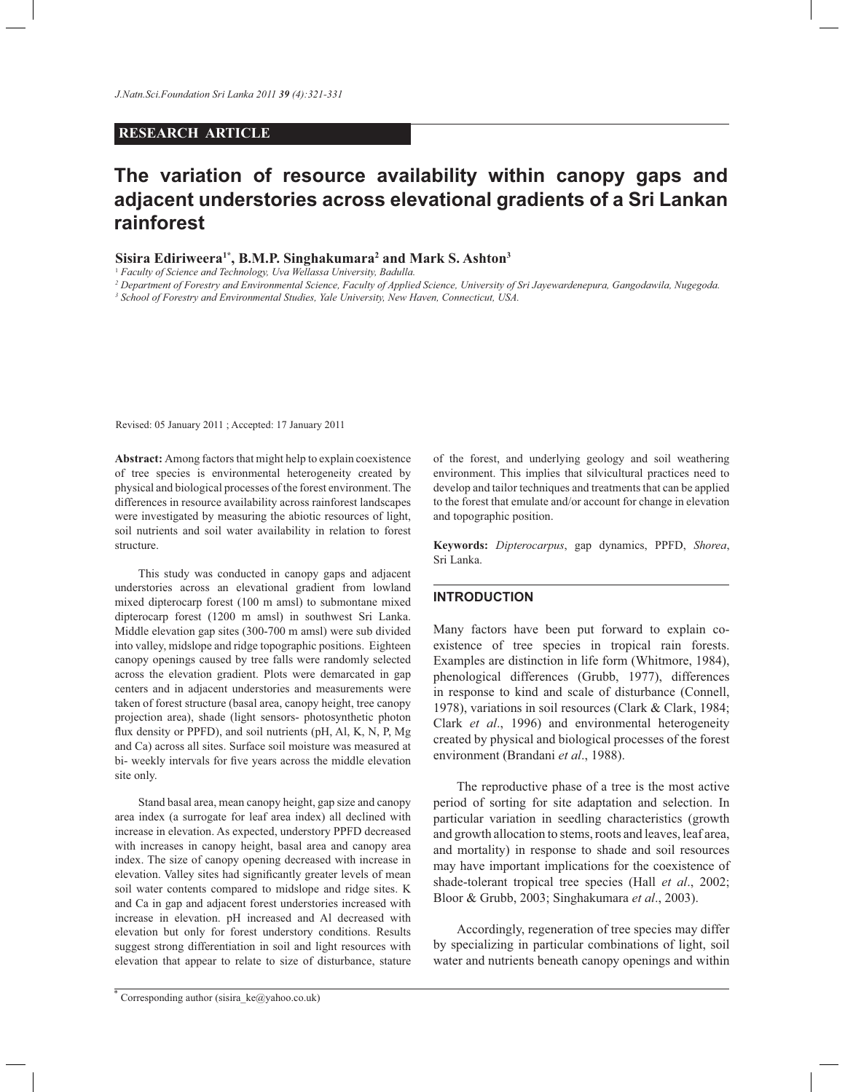## **RESEARCH ARTICLE**

# **The variation of resource availability within canopy gaps and adjacent understories across elevational gradients of a Sri Lankan rainforest**

## **Sisira Ediriweera1\*, B.M.P. Singhakumara<sup>2</sup> and Mark S. Ashton<sup>3</sup>**

<sup>1</sup> *Faculty of Science and Technology, Uva Wellassa University, Badulla.*

*2 Department of Forestry and Environmental Science, Faculty of Applied Science, University of Sri Jayewardenepura, Gangodawila, Nugegoda.*

*3 School of Forestry and Environmental Studies, Yale University, New Haven, Connecticut, USA.*

Revised: 05 January 2011 ; Accepted: 17 January 2011

**Abstract:** Among factors that might help to explain coexistence of tree species is environmental heterogeneity created by physical and biological processes of the forest environment. The differences in resource availability across rainforest landscapes were investigated by measuring the abiotic resources of light, soil nutrients and soil water availability in relation to forest structure.

 This study was conducted in canopy gaps and adjacent understories across an elevational gradient from lowland mixed dipterocarp forest (100 m amsl) to submontane mixed dipterocarp forest (1200 m amsl) in southwest Sri Lanka. Middle elevation gap sites (300-700 m amsl) were sub divided into valley, midslope and ridge topographic positions. Eighteen canopy openings caused by tree falls were randomly selected across the elevation gradient. Plots were demarcated in gap centers and in adjacent understories and measurements were taken of forest structure (basal area, canopy height, tree canopy projection area), shade (light sensors- photosynthetic photon flux density or PPFD), and soil nutrients (pH, Al, K, N, P, Mg and Ca) across all sites. Surface soil moisture was measured at bi- weekly intervals for five years across the middle elevation site only.

 Stand basal area, mean canopy height, gap size and canopy area index (a surrogate for leaf area index) all declined with increase in elevation. As expected, understory PPFD decreased with increases in canopy height, basal area and canopy area index. The size of canopy opening decreased with increase in elevation. Valley sites had significantly greater levels of mean soil water contents compared to midslope and ridge sites. K and Ca in gap and adjacent forest understories increased with increase in elevation. pH increased and Al decreased with elevation but only for forest understory conditions. Results suggest strong differentiation in soil and light resources with elevation that appear to relate to size of disturbance, stature

of the forest, and underlying geology and soil weathering environment. This implies that silvicultural practices need to develop and tailor techniques and treatments that can be applied to the forest that emulate and/or account for change in elevation and topographic position.

**Keywords:** *Dipterocarpus*, gap dynamics, PPFD, *Shorea*, Sri Lanka.

## **INTRODUCTION**

Many factors have been put forward to explain coexistence of tree species in tropical rain forests. Examples are distinction in life form (Whitmore, 1984), phenological differences (Grubb, 1977), differences in response to kind and scale of disturbance (Connell, 1978), variations in soil resources (Clark & Clark, 1984; Clark *et al*., 1996) and environmental heterogeneity created by physical and biological processes of the forest environment (Brandani *et al*., 1988).

 The reproductive phase of a tree is the most active period of sorting for site adaptation and selection. In particular variation in seedling characteristics (growth and growth allocation to stems, roots and leaves, leaf area, and mortality) in response to shade and soil resources may have important implications for the coexistence of shade-tolerant tropical tree species (Hall *et al*., 2002; Bloor & Grubb, 2003; Singhakumara *et al*., 2003).

 Accordingly, regeneration of tree species may differ by specializing in particular combinations of light, soil water and nutrients beneath canopy openings and within

<sup>\*</sup> Corresponding author (sisira\_ke@yahoo.co.uk)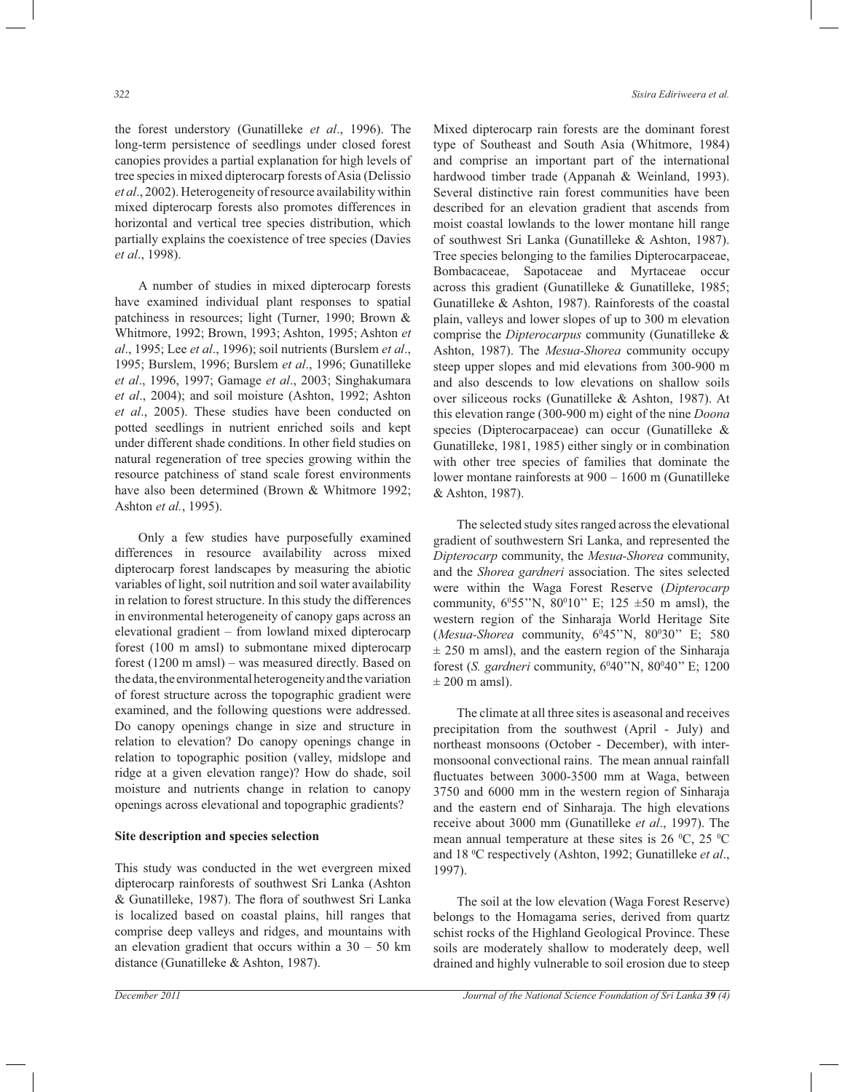the forest understory (Gunatilleke *et al*., 1996). The long-term persistence of seedlings under closed forest canopies provides a partial explanation for high levels of tree species in mixed dipterocarp forests of Asia (Delissio *et al*., 2002). Heterogeneity of resource availability within mixed dipterocarp forests also promotes differences in horizontal and vertical tree species distribution, which partially explains the coexistence of tree species (Davies *et al*., 1998).

 A number of studies in mixed dipterocarp forests have examined individual plant responses to spatial patchiness in resources; light (Turner, 1990; Brown & Whitmore, 1992; Brown, 1993; Ashton, 1995; Ashton *et al*., 1995; Lee *et al*., 1996); soil nutrients (Burslem *et al*., 1995; Burslem, 1996; Burslem *et al*., 1996; Gunatilleke *et al*., 1996, 1997; Gamage *et al*., 2003; Singhakumara *et al*., 2004); and soil moisture (Ashton, 1992; Ashton *et al*., 2005). These studies have been conducted on potted seedlings in nutrient enriched soils and kept under different shade conditions. In other field studies on natural regeneration of tree species growing within the resource patchiness of stand scale forest environments have also been determined (Brown & Whitmore 1992; Ashton *et al.*, 1995).

 Only a few studies have purposefully examined differences in resource availability across mixed dipterocarp forest landscapes by measuring the abiotic variables of light, soil nutrition and soil water availability in relation to forest structure. In this study the differences in environmental heterogeneity of canopy gaps across an elevational gradient – from lowland mixed dipterocarp forest (100 m amsl) to submontane mixed dipterocarp forest (1200 m amsl) – was measured directly. Based on the data, the environmental heterogeneity and the variation of forest structure across the topographic gradient were examined, and the following questions were addressed. Do canopy openings change in size and structure in relation to elevation? Do canopy openings change in relation to topographic position (valley, midslope and ridge at a given elevation range)? How do shade, soil moisture and nutrients change in relation to canopy openings across elevational and topographic gradients?

#### **Site description and species selection**

This study was conducted in the wet evergreen mixed dipterocarp rainforests of southwest Sri Lanka (Ashton & Gunatilleke, 1987). The flora of southwest Sri Lanka is localized based on coastal plains, hill ranges that comprise deep valleys and ridges, and mountains with an elevation gradient that occurs within a  $30 - 50$  km distance (Gunatilleke & Ashton, 1987).

Mixed dipterocarp rain forests are the dominant forest type of Southeast and South Asia (Whitmore, 1984) and comprise an important part of the international hardwood timber trade (Appanah & Weinland, 1993). Several distinctive rain forest communities have been described for an elevation gradient that ascends from moist coastal lowlands to the lower montane hill range of southwest Sri Lanka (Gunatilleke & Ashton, 1987). Tree species belonging to the families Dipterocarpaceae, Bombacaceae, Sapotaceae and Myrtaceae occur across this gradient (Gunatilleke & Gunatilleke, 1985; Gunatilleke & Ashton, 1987). Rainforests of the coastal plain, valleys and lower slopes of up to 300 m elevation comprise the *Dipterocarpus* community (Gunatilleke & Ashton, 1987). The *Mesua-Shorea* community occupy steep upper slopes and mid elevations from 300-900 m and also descends to low elevations on shallow soils over siliceous rocks (Gunatilleke & Ashton, 1987). At this elevation range (300-900 m) eight of the nine *Doona* species (Dipterocarpaceae) can occur (Gunatilleke & Gunatilleke, 1981, 1985) either singly or in combination with other tree species of families that dominate the lower montane rainforests at 900 – 1600 m (Gunatilleke & Ashton, 1987).

 The selected study sites ranged across the elevational gradient of southwestern Sri Lanka, and represented the *Dipterocarp* community, the *Mesua-Shorea* community, and the *Shorea gardneri* association. The sites selected were within the Waga Forest Reserve (*Dipterocarp* community,  $6^055''N$ ,  $80^010''$  E;  $125 \pm 50$  m amsl), the western region of the Sinharaja World Heritage Site (*Mesua-Shorea* community, 6<sup>0</sup>45"N, 80<sup>0</sup>30" E; 580  $\pm$  250 m amsl), and the eastern region of the Sinharaja forest (*S. gardneri* community, 6<sup>0</sup>40"N, 80<sup>0</sup>40" E; 1200  $\pm$  200 m amsl).

 The climate at all three sites is aseasonal and receives precipitation from the southwest (April - July) and northeast monsoons (October - December), with intermonsoonal convectional rains. The mean annual rainfall fluctuates between 3000-3500 mm at Waga, between 3750 and 6000 mm in the western region of Sinharaja and the eastern end of Sinharaja. The high elevations receive about 3000 mm (Gunatilleke *et al*., 1997). The mean annual temperature at these sites is  $26 \degree C$ ,  $25 \degree C$ and 18 <sup>0</sup>C respectively (Ashton, 1992; Gunatilleke *et al*., 1997).

 The soil at the low elevation (Waga Forest Reserve) belongs to the Homagama series, derived from quartz schist rocks of the Highland Geological Province. These soils are moderately shallow to moderately deep, well drained and highly vulnerable to soil erosion due to steep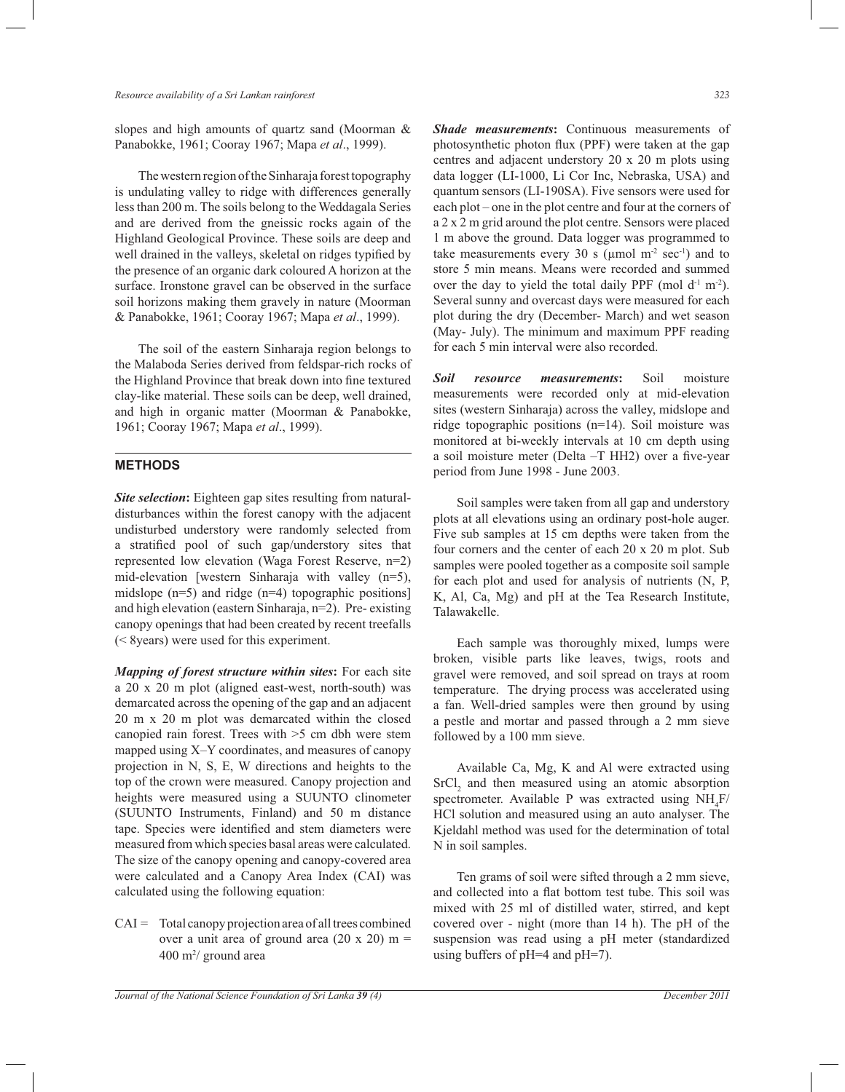slopes and high amounts of quartz sand (Moorman & Panabokke, 1961; Cooray 1967; Mapa *et al*., 1999).

 The western region of the Sinharaja forest topography is undulating valley to ridge with differences generally less than 200 m. The soils belong to the Weddagala Series and are derived from the gneissic rocks again of the Highland Geological Province. These soils are deep and well drained in the valleys, skeletal on ridges typified by the presence of an organic dark coloured A horizon at the surface. Ironstone gravel can be observed in the surface soil horizons making them gravely in nature (Moorman & Panabokke, 1961; Cooray 1967; Mapa *et al*., 1999).

 The soil of the eastern Sinharaja region belongs to the Malaboda Series derived from feldspar-rich rocks of the Highland Province that break down into fine textured clay-like material. These soils can be deep, well drained, and high in organic matter (Moorman & Panabokke, 1961; Cooray 1967; Mapa *et al*., 1999).

## **METHODS**

l

**Site selection:** Eighteen gap sites resulting from naturaldisturbances within the forest canopy with the adjacent undisturbed understory were randomly selected from a stratified pool of such gap/understory sites that represented low elevation (Waga Forest Reserve, n=2) mid-elevation [western Sinharaja with valley (n=5), midslope (n=5) and ridge (n=4) topographic positions] and high elevation (eastern Sinharaja, n=2). Pre- existing canopy openings that had been created by recent treefalls (< 8years) were used for this experiment.

*Mapping of forest structure within sites***:** For each site a 20 x 20 m plot (aligned east-west, north-south) was demarcated across the opening of the gap and an adjacent 20 m x 20 m plot was demarcated within the closed canopied rain forest. Trees with >5 cm dbh were stem mapped using X–Y coordinates, and measures of canopy projection in N, S, E, W directions and heights to the top of the crown were measured. Canopy projection and heights were measured using a SUUNTO clinometer (SUUNTO Instruments, Finland) and 50 m distance tape. Species were identified and stem diameters were measured from which species basal areas were calculated. The size of the canopy opening and canopy-covered area were calculated and a Canopy Area Index (CAI) was calculated using the following equation:

CAI = Total canopy projection area of all trees combined over a unit area of ground area  $(20 \times 20)$  m =  $400 \text{ m}^2$ / ground area

*Shade measurements***:** Continuous measurements of photosynthetic photon flux (PPF) were taken at the gap centres and adjacent understory 20 x 20 m plots using data logger (LI-1000, Li Cor Inc, Nebraska, USA) and quantum sensors (LI-190SA). Five sensors were used for each plot – one in the plot centre and four at the corners of a 2 x 2 m grid around the plot centre. Sensors were placed 1 m above the ground. Data logger was programmed to take measurements every 30 s ( $\mu$ mol m<sup>-2</sup> sec<sup>-1</sup>) and to store 5 min means. Means were recorded and summed over the day to yield the total daily PPF (mol  $d^{-1}$  m<sup>-2</sup>). Several sunny and overcast days were measured for each plot during the dry (December- March) and wet season (May- July). The minimum and maximum PPF reading for each 5 min interval were also recorded.

*Soil resource measurements***:** Soil moisture measurements were recorded only at mid-elevation sites (western Sinharaja) across the valley, midslope and ridge topographic positions (n=14). Soil moisture was monitored at bi-weekly intervals at 10 cm depth using a soil moisture meter (Delta –T HH2) over a five-year period from June 1998 - June 2003.

 Soil samples were taken from all gap and understory plots at all elevations using an ordinary post-hole auger. Five sub samples at 15 cm depths were taken from the four corners and the center of each 20 x 20 m plot. Sub samples were pooled together as a composite soil sample for each plot and used for analysis of nutrients (N, P, K, Al, Ca, Mg) and pH at the Tea Research Institute, Talawakelle.

 Each sample was thoroughly mixed, lumps were broken, visible parts like leaves, twigs, roots and gravel were removed, and soil spread on trays at room temperature. The drying process was accelerated using a fan. Well-dried samples were then ground by using a pestle and mortar and passed through a 2 mm sieve followed by a 100 mm sieve.

 Available Ca, Mg, K and Al were extracted using  $SrCl<sub>2</sub>$  and then measured using an atomic absorption spectrometer. Available P was extracted using  $NH_4F$ / HCl solution and measured using an auto analyser. The Kjeldahl method was used for the determination of total N in soil samples.

 Ten grams of soil were sifted through a 2 mm sieve, and collected into a flat bottom test tube. This soil was mixed with 25 ml of distilled water, stirred, and kept covered over - night (more than 14 h). The pH of the suspension was read using a pH meter (standardized using buffers of pH=4 and pH=7).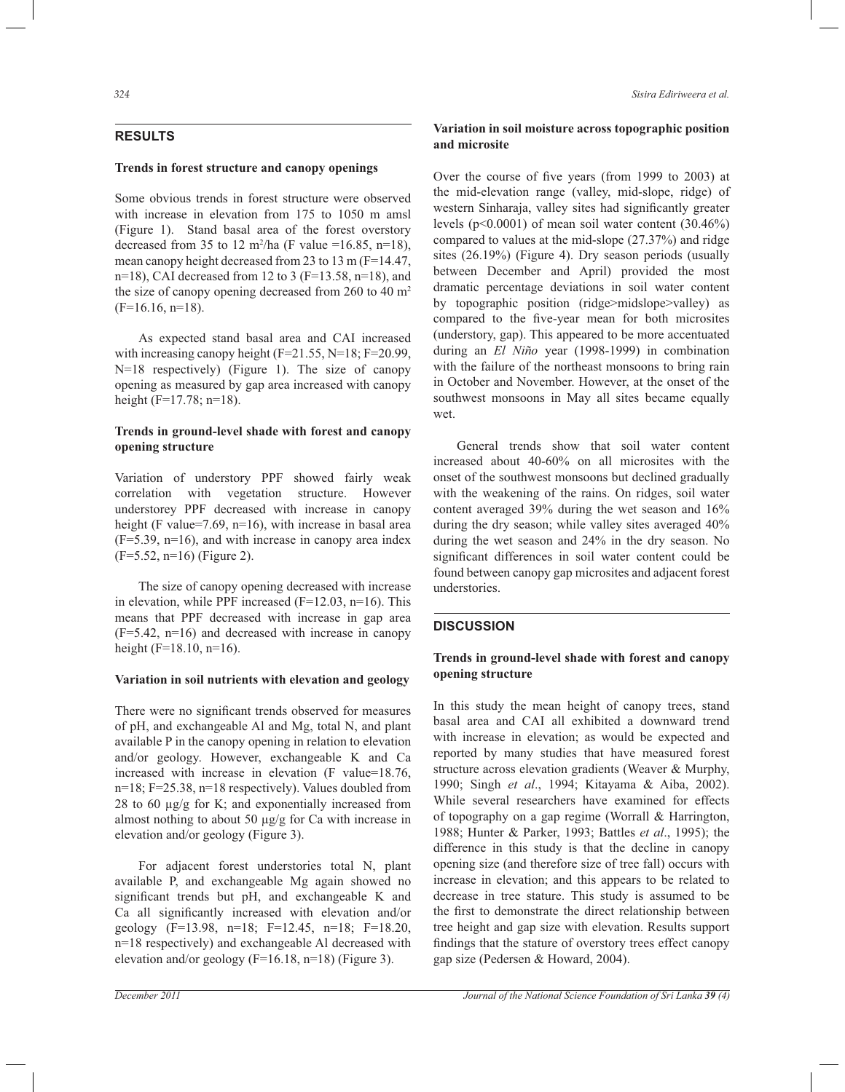# **RESULTS**

## **Trends in forest structure and canopy openings**

Some obvious trends in forest structure were observed with increase in elevation from 175 to 1050 m amsl (Figure 1). Stand basal area of the forest overstory decreased from 35 to 12 m<sup>2</sup>/ha (F value =16.85, n=18), mean canopy height decreased from 23 to 13 m (F=14.47, n=18), CAI decreased from 12 to 3 ( $F=13.58$ , n=18), and the size of canopy opening decreased from  $260$  to  $40 \text{ m}^2$  $(F=16.16, n=18)$ .

 As expected stand basal area and CAI increased with increasing canopy height  $(F=21.55, N=18; F=20.99,$ N=18 respectively) (Figure 1). The size of canopy opening as measured by gap area increased with canopy height (F=17.78; n=18).

## **Trends in ground-level shade with forest and canopy opening structure**

Variation of understory PPF showed fairly weak correlation with vegetation structure. However understorey PPF decreased with increase in canopy height (F value=7.69, n=16), with increase in basal area (F=5.39, n=16), and with increase in canopy area index (F=5.52, n=16) (Figure 2).

 The size of canopy opening decreased with increase in elevation, while PPF increased  $(F=12.03, n=16)$ . This means that PPF decreased with increase in gap area (F=5.42, n=16) and decreased with increase in canopy height ( $F=18.10$ ,  $n=16$ ).

#### **Variation in soil nutrients with elevation and geology**

There were no significant trends observed for measures of pH, and exchangeable Al and Mg, total N, and plant available P in the canopy opening in relation to elevation and/or geology. However, exchangeable K and Ca increased with increase in elevation (F value=18.76, n=18; F=25.38, n=18 respectively). Values doubled from 28 to 60 µg/g for K; and exponentially increased from almost nothing to about 50  $\mu$ g/g for Ca with increase in elevation and/or geology (Figure 3).

 For adjacent forest understories total N, plant available P, and exchangeable Mg again showed no significant trends but pH, and exchangeable K and Ca all significantly increased with elevation and/or geology (F=13.98, n=18; F=12.45, n=18; F=18.20, n=18 respectively) and exchangeable Al decreased with elevation and/or geology (F=16.18, n=18) (Figure 3).

*324 Sisira Ediriweera et al.*

## **Variation in soil moisture across topographic position and microsite**

Over the course of five years (from 1999 to 2003) at the mid-elevation range (valley, mid-slope, ridge) of western Sinharaja, valley sites had significantly greater levels (p<0.0001) of mean soil water content (30.46%) compared to values at the mid-slope (27.37%) and ridge sites (26.19%) (Figure 4). Dry season periods (usually between December and April) provided the most dramatic percentage deviations in soil water content by topographic position (ridge>midslope>valley) as compared to the five-year mean for both microsites (understory, gap). This appeared to be more accentuated during an *El Niño* year (1998-1999) in combination with the failure of the northeast monsoons to bring rain in October and November. However, at the onset of the southwest monsoons in May all sites became equally wet.

 General trends show that soil water content increased about 40-60% on all microsites with the onset of the southwest monsoons but declined gradually with the weakening of the rains. On ridges, soil water content averaged 39% during the wet season and 16% during the dry season; while valley sites averaged 40% during the wet season and 24% in the dry season. No significant differences in soil water content could be found between canopy gap microsites and adjacent forest understories.

#### **DISCUSSION**

# **Trends in ground-level shade with forest and canopy opening structure**

In this study the mean height of canopy trees, stand basal area and CAI all exhibited a downward trend with increase in elevation; as would be expected and reported by many studies that have measured forest structure across elevation gradients (Weaver & Murphy, 1990; Singh *et al*., 1994; Kitayama & Aiba, 2002). While several researchers have examined for effects of topography on a gap regime (Worrall & Harrington, 1988; Hunter & Parker, 1993; Battles *et al*., 1995); the difference in this study is that the decline in canopy opening size (and therefore size of tree fall) occurs with increase in elevation; and this appears to be related to decrease in tree stature. This study is assumed to be the first to demonstrate the direct relationship between tree height and gap size with elevation. Results support findings that the stature of overstory trees effect canopy gap size (Pedersen & Howard, 2004).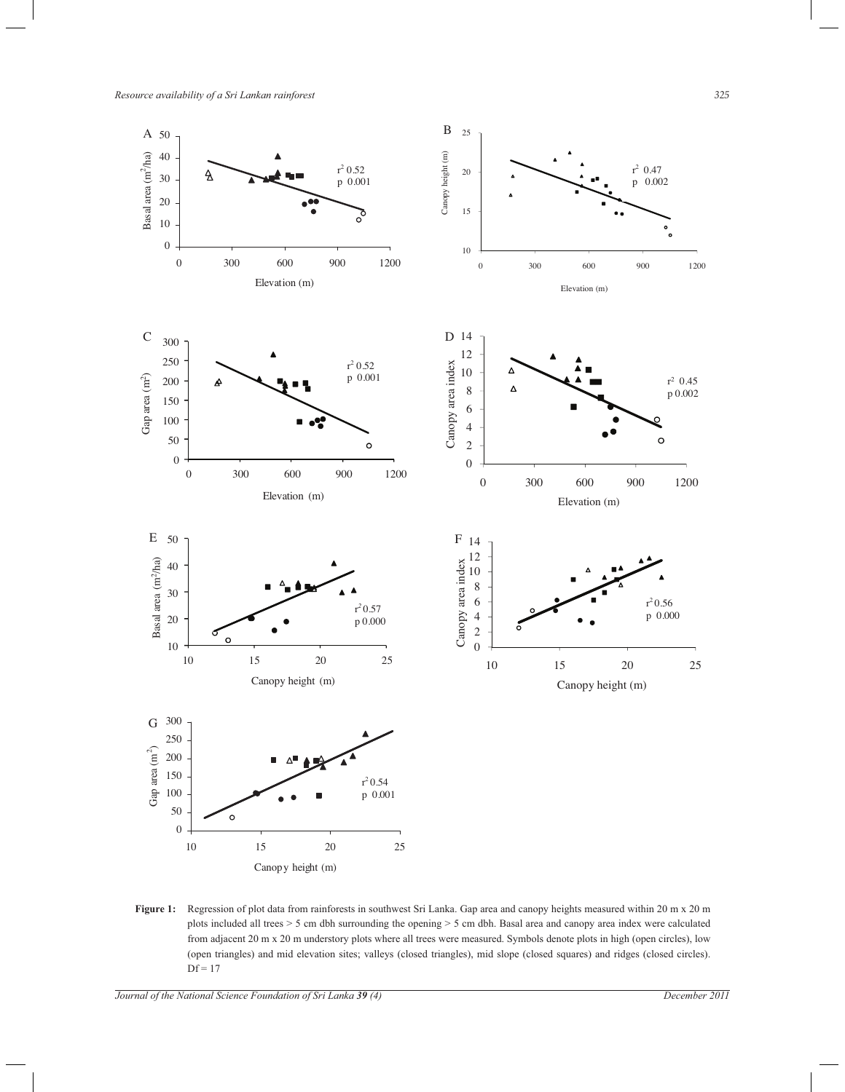

**Figure 1:** Regression of plot data from rainforests in southwest Sri Lanka. Gap area and canopy heights measured within 20 m x 20 m plots included all trees > 5 cm dbh surrounding the opening > 5 cm dbh. Basal area and canopy area index were calculated from adjacent 20 m x 20 m understory plots where all trees were measured. Symbols denote plots in high (open circles), low (open triangles) and mid elevation sites; valleys (closed triangles), mid slope (closed squares) and ridges (closed circles).  $Df = 17$ 

*Journal of the National Science Foundation of Sri Lanka 39 (4) December 2011*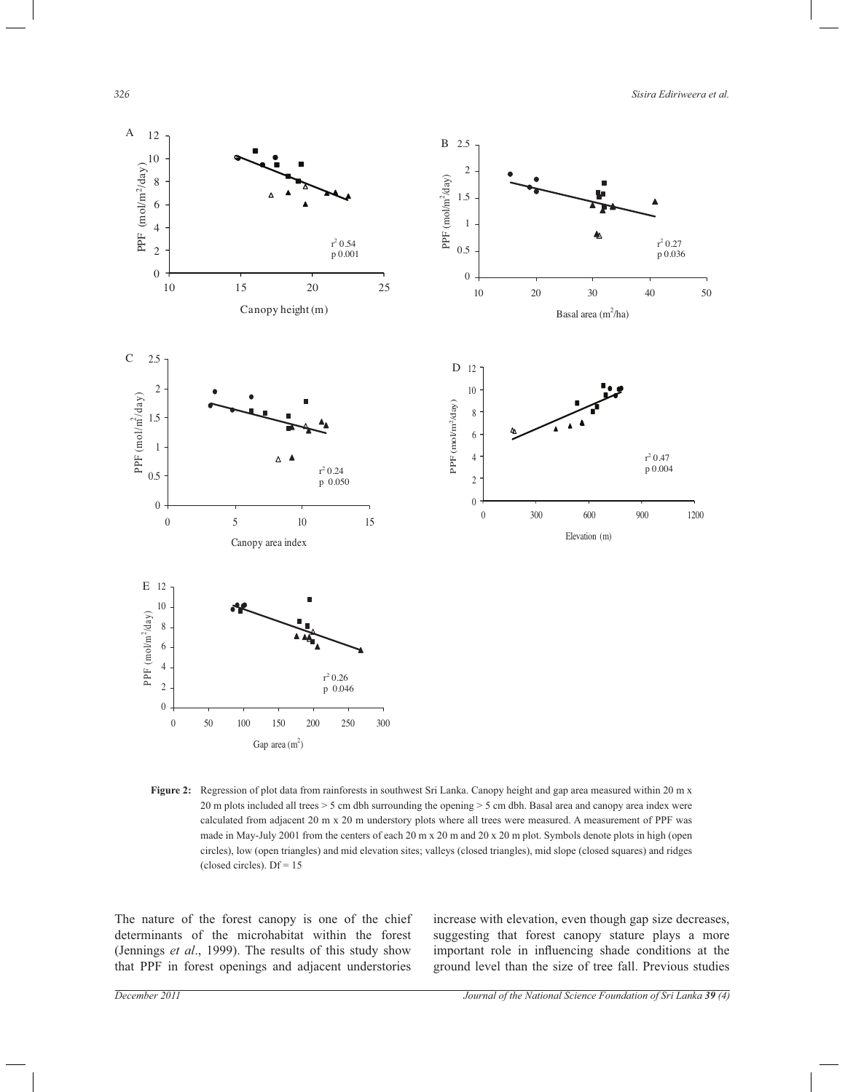*326 Sisira Ediriweera et al.*



**Figure 2:** Regression of plot data from rainforests in southwest Sri Lanka. Canopy height and gap area measured within 20 m x 20 m plots included all trees > 5 cm dbh surrounding the opening > 5 cm dbh. Basal area and canopy area index were calculated from adjacent 20 m x 20 m understory plots where all trees were measured. A measurement of PPF was made in May-July 2001 from the centers of each 20 m x 20 m and 20 x 20 m plot. Symbols denote plots in high (open circles), low (open triangles) and mid elevation sites; valleys (closed triangles), mid slope (closed squares) and ridges (closed circles).  $Df = 15$ 

The nature of the forest canopy is one of the chief determinants of the microhabitat within the forest (Jennings *et al*., 1999). The results of this study show that PPF in forest openings and adjacent understories

increase with elevation, even though gap size decreases, suggesting that forest canopy stature plays a more important role in influencing shade conditions at the ground level than the size of tree fall. Previous studies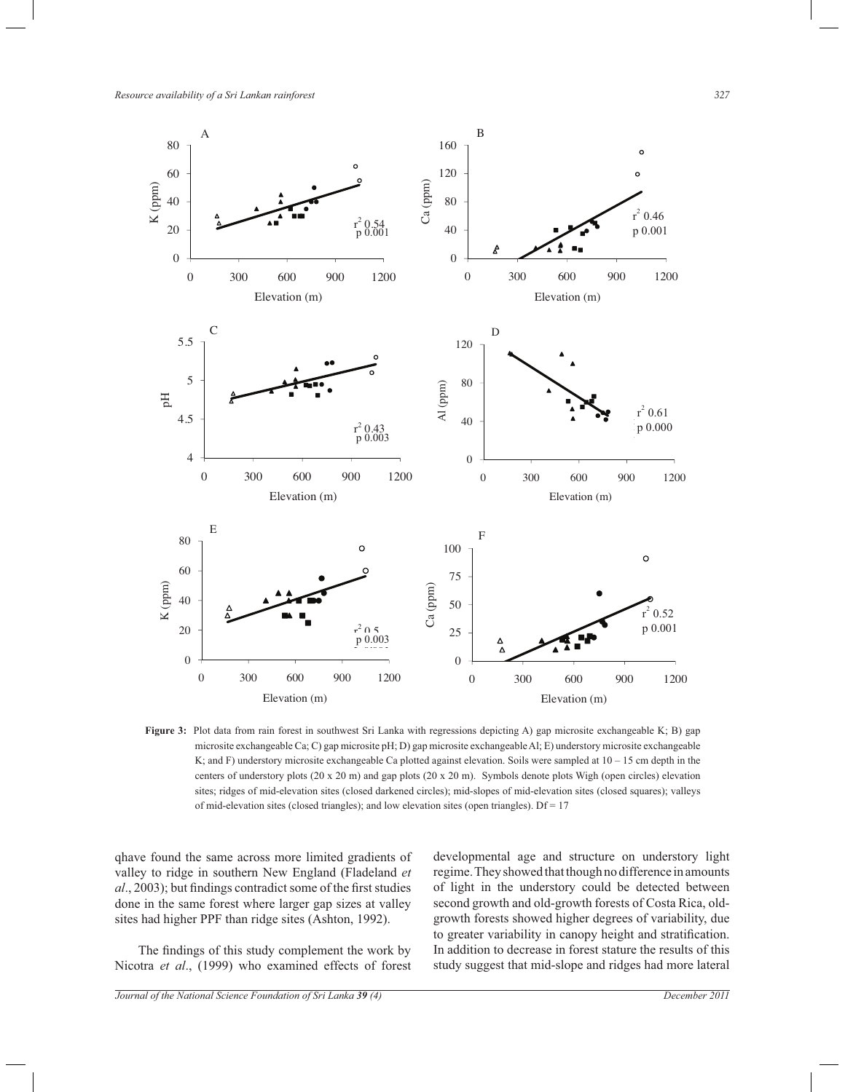

**Figure 3:** Plot data from rain forest in southwest Sri Lanka with regressions depicting A) gap microsite exchangeable K; B) gap microsite exchangeable Ca; C) gap microsite pH; D) gap microsite exchangeable Al; E) understory microsite exchangeable K; and F) understory microsite exchangeable Ca plotted against elevation. Soils were sampled at  $10 - 15$  cm depth in the centers of understory plots  $(20 \times 20 \text{ m})$  and gap plots  $(20 \times 20 \text{ m})$ . Symbols denote plots Wigh (open circles) elevation sites; ridges of mid-elevation sites (closed darkened circles); mid-slopes of mid-elevation sites (closed squares); valleys of mid-elevation sites (closed triangles); and low elevation sites (open triangles).  $Df = 17$ 

qhave found the same across more limited gradients of valley to ridge in southern New England (Fladeland *et al*., 2003); but findings contradict some of the first studies done in the same forest where larger gap sizes at valley sites had higher PPF than ridge sites (Ashton, 1992).

 The findings of this study complement the work by Nicotra *et al*., (1999) who examined effects of forest developmental age and structure on understory light regime. They showed that though no difference in amounts of light in the understory could be detected between second growth and old-growth forests of Costa Rica, oldgrowth forests showed higher degrees of variability, due to greater variability in canopy height and stratification. In addition to decrease in forest stature the results of this study suggest that mid-slope and ridges had more lateral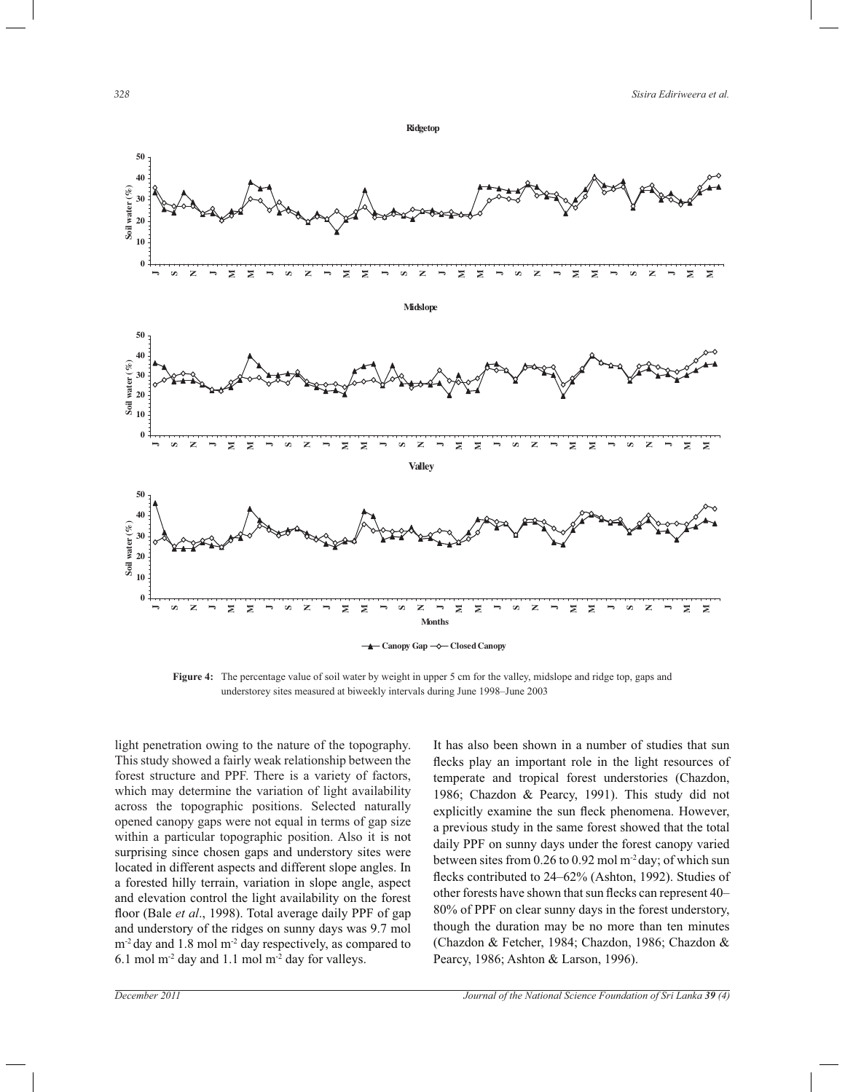

**Canopy Gap Closed Canopy**

**Figure 4:** The percentage value of soil water by weight in upper 5 cm for the valley, midslope and ridge top, gaps and understorey sites measured at biweekly intervals during June 1998–June 2003

light penetration owing to the nature of the topography. This study showed a fairly weak relationship between the forest structure and PPF. There is a variety of factors, which may determine the variation of light availability across the topographic positions. Selected naturally opened canopy gaps were not equal in terms of gap size within a particular topographic position. Also it is not surprising since chosen gaps and understory sites were located in different aspects and different slope angles. In a forested hilly terrain, variation in slope angle, aspect and elevation control the light availability on the forest floor (Bale *et al*., 1998). Total average daily PPF of gap and understory of the ridges on sunny days was 9.7 mol m<sup>-2</sup> day and 1.8 mol m<sup>-2</sup> day respectively, as compared to 6.1 mol  $m<sup>-2</sup>$  day and 1.1 mol  $m<sup>-2</sup>$  day for valleys.

It has also been shown in a number of studies that sun flecks play an important role in the light resources of temperate and tropical forest understories (Chazdon, 1986; Chazdon & Pearcy, 1991). This study did not explicitly examine the sun fleck phenomena. However, a previous study in the same forest showed that the total daily PPF on sunny days under the forest canopy varied between sites from 0.26 to 0.92 mol m-2 day; of which sun flecks contributed to 24–62% (Ashton, 1992). Studies of other forests have shown that sun flecks can represent 40– 80% of PPF on clear sunny days in the forest understory, though the duration may be no more than ten minutes (Chazdon & Fetcher, 1984; Chazdon, 1986; Chazdon & Pearcy, 1986; Ashton & Larson, 1996).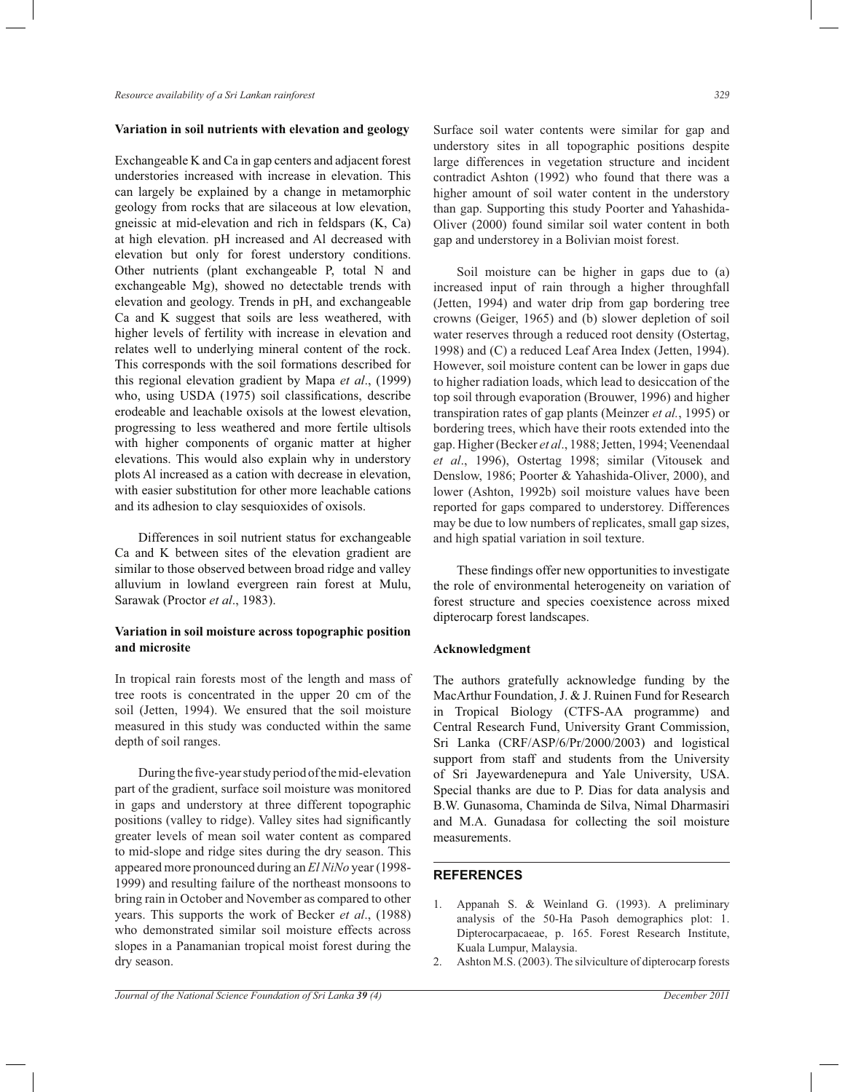#### **Variation in soil nutrients with elevation and geology**

Exchangeable K and Ca in gap centers and adjacent forest understories increased with increase in elevation. This can largely be explained by a change in metamorphic geology from rocks that are silaceous at low elevation, gneissic at mid-elevation and rich in feldspars (K, Ca) at high elevation. pH increased and Al decreased with elevation but only for forest understory conditions. Other nutrients (plant exchangeable P, total N and exchangeable Mg), showed no detectable trends with elevation and geology. Trends in pH, and exchangeable Ca and K suggest that soils are less weathered, with higher levels of fertility with increase in elevation and relates well to underlying mineral content of the rock. This corresponds with the soil formations described for this regional elevation gradient by Mapa *et al*., (1999) who, using USDA (1975) soil classifications, describe erodeable and leachable oxisols at the lowest elevation, progressing to less weathered and more fertile ultisols with higher components of organic matter at higher elevations. This would also explain why in understory plots Al increased as a cation with decrease in elevation, with easier substitution for other more leachable cations and its adhesion to clay sesquioxides of oxisols.

 Differences in soil nutrient status for exchangeable Ca and K between sites of the elevation gradient are similar to those observed between broad ridge and valley alluvium in lowland evergreen rain forest at Mulu, Sarawak (Proctor *et al*., 1983).

## **Variation in soil moisture across topographic position and microsite**

In tropical rain forests most of the length and mass of tree roots is concentrated in the upper 20 cm of the soil (Jetten, 1994). We ensured that the soil moisture measured in this study was conducted within the same depth of soil ranges.

 During the five-year study period of the mid-elevation part of the gradient, surface soil moisture was monitored in gaps and understory at three different topographic positions (valley to ridge). Valley sites had significantly greater levels of mean soil water content as compared to mid-slope and ridge sites during the dry season. This appeared more pronounced during an *El NiNo* year (1998- 1999) and resulting failure of the northeast monsoons to bring rain in October and November as compared to other years. This supports the work of Becker *et al*., (1988) who demonstrated similar soil moisture effects across slopes in a Panamanian tropical moist forest during the dry season.

Surface soil water contents were similar for gap and understory sites in all topographic positions despite large differences in vegetation structure and incident contradict Ashton (1992) who found that there was a higher amount of soil water content in the understory than gap. Supporting this study Poorter and Yahashida-Oliver (2000) found similar soil water content in both gap and understorey in a Bolivian moist forest.

 Soil moisture can be higher in gaps due to (a) increased input of rain through a higher throughfall (Jetten, 1994) and water drip from gap bordering tree crowns (Geiger, 1965) and (b) slower depletion of soil water reserves through a reduced root density (Ostertag, 1998) and (C) a reduced Leaf Area Index (Jetten, 1994). However, soil moisture content can be lower in gaps due to higher radiation loads, which lead to desiccation of the top soil through evaporation (Brouwer, 1996) and higher transpiration rates of gap plants (Meinzer *et al.*, 1995) or bordering trees, which have their roots extended into the gap. Higher (Becker *et al*., 1988; Jetten, 1994; Veenendaal *et al*., 1996), Ostertag 1998; similar (Vitousek and Denslow, 1986; Poorter & Yahashida-Oliver, 2000), and lower (Ashton, 1992b) soil moisture values have been reported for gaps compared to understorey. Differences may be due to low numbers of replicates, small gap sizes, and high spatial variation in soil texture.

 These findings offer new opportunities to investigate the role of environmental heterogeneity on variation of forest structure and species coexistence across mixed dipterocarp forest landscapes.

#### **Acknowledgment**

The authors gratefully acknowledge funding by the MacArthur Foundation, J. & J. Ruinen Fund for Research in Tropical Biology (CTFS-AA programme) and Central Research Fund, University Grant Commission, Sri Lanka (CRF/ASP/6/Pr/2000/2003) and logistical support from staff and students from the University of Sri Jayewardenepura and Yale University, USA. Special thanks are due to P. Dias for data analysis and B.W. Gunasoma, Chaminda de Silva, Nimal Dharmasiri and M.A. Gunadasa for collecting the soil moisture measurements.

#### **REFERENCES**

- 1. Appanah S. & Weinland G. (1993). A preliminary analysis of the 50-Ha Pasoh demographics plot: 1. Dipterocarpacaeae, p. 165. Forest Research Institute, Kuala Lumpur, Malaysia.
- 2. Ashton M.S. (2003). The silviculture of dipterocarp forests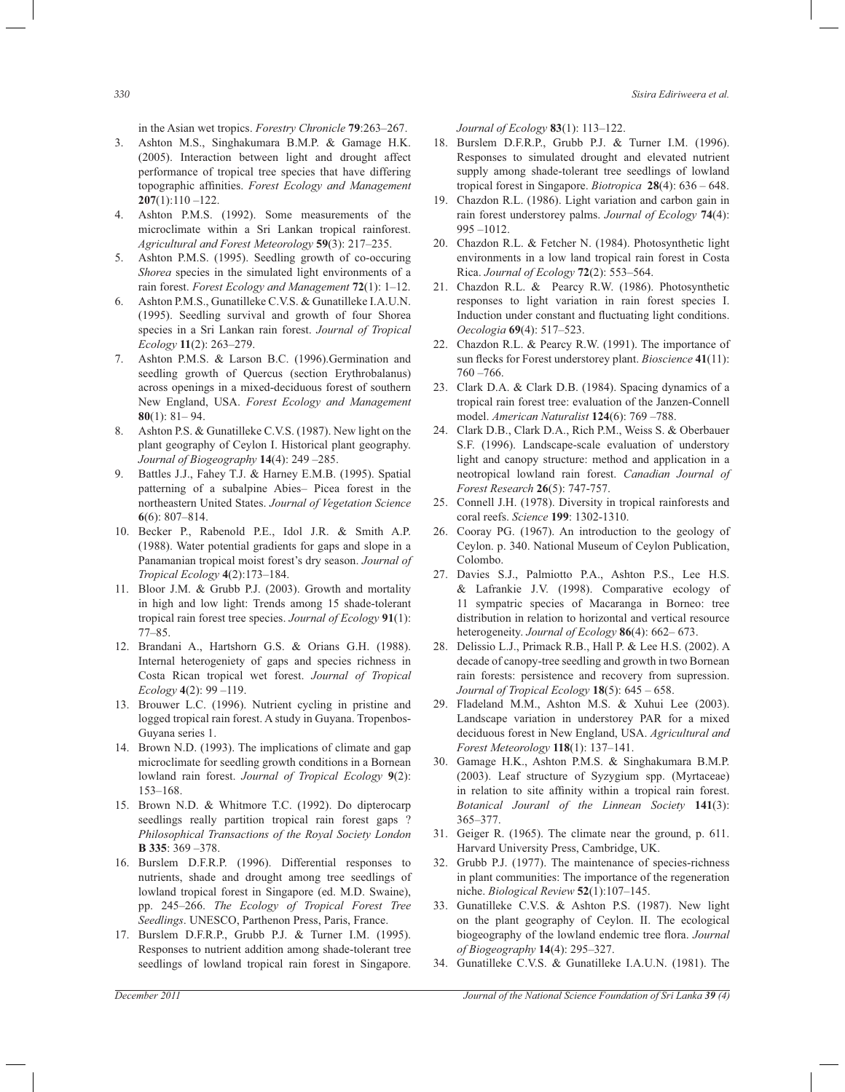in the Asian wet tropics. *Forestry Chronicle* **79**:263–267.

- 3. Ashton M.S., Singhakumara B.M.P. & Gamage H.K. (2005). Interaction between light and drought affect performance of tropical tree species that have differing topographic affinities. *Forest Ecology and Management*  **207**(1):110 –122.
- 4. Ashton P.M.S. (1992). Some measurements of the microclimate within a Sri Lankan tropical rainforest. *Agricultural and Forest Meteorology* **59**(3): 217–235.
- 5. Ashton P.M.S. (1995). Seedling growth of co-occuring *Shorea* species in the simulated light environments of a rain forest. *Forest Ecology and Management* **72**(1): 1–12.
- 6. Ashton P.M.S., Gunatilleke C.V.S. & Gunatilleke I.A.U.N. (1995). Seedling survival and growth of four Shorea species in a Sri Lankan rain forest. *Journal of Tropical Ecology* **11**(2): 263–279.
- 7. Ashton P.M.S. & Larson B.C. (1996).Germination and seedling growth of Quercus (section Erythrobalanus) across openings in a mixed-deciduous forest of southern New England, USA. *Forest Ecology and Management*  **80**(1): 81– 94.
- 8. Ashton P.S. & Gunatilleke C.V.S. (1987). New light on the plant geography of Ceylon I. Historical plant geography. *Journal of Biogeography* **14**(4): 249 –285.
- 9. Battles J.J., Fahey T.J. & Harney E.M.B. (1995). Spatial patterning of a subalpine Abies– Picea forest in the northeastern United States. *Journal of Vegetation Science*  **6**(6): 807–814.
- 10. Becker P., Rabenold P.E., Idol J.R. & Smith A.P. (1988). Water potential gradients for gaps and slope in a Panamanian tropical moist forest's dry season. *Journal of Tropical Ecology* **4**(2):173–184.
- 11. Bloor J.M. & Grubb P.J. (2003). Growth and mortality in high and low light: Trends among 15 shade-tolerant tropical rain forest tree species. *Journal of Ecology* **91**(1): 77–85.
- 12. Brandani A., Hartshorn G.S. & Orians G.H. (1988). Internal heterogeniety of gaps and species richness in Costa Rican tropical wet forest. *Journal of Tropical Ecology* **4**(2): 99 –119.
- 13. Brouwer L.C. (1996). Nutrient cycling in pristine and logged tropical rain forest. A study in Guyana. Tropenbos-Guyana series 1.
- 14. Brown N.D. (1993). The implications of climate and gap microclimate for seedling growth conditions in a Bornean lowland rain forest. *Journal of Tropical Ecology* **9**(2): 153–168.
- 15. Brown N.D. & Whitmore T.C. (1992). Do dipterocarp seedlings really partition tropical rain forest gaps ? *Philosophical Transactions of the Royal Society London*  **B 335**: 369 –378.
- 16. Burslem D.F.R.P. (1996). Differential responses to nutrients, shade and drought among tree seedlings of lowland tropical forest in Singapore (ed. M.D. Swaine), pp. 245–266. *The Ecology of Tropical Forest Tree Seedlings*. UNESCO, Parthenon Press, Paris, France.
- 17. Burslem D.F.R.P., Grubb P.J. & Turner I.M. (1995). Responses to nutrient addition among shade-tolerant tree seedlings of lowland tropical rain forest in Singapore.

*Journal of Ecology* **83**(1): 113–122.

- 18. Burslem D.F.R.P., Grubb P.J. & Turner I.M. (1996). Responses to simulated drought and elevated nutrient supply among shade-tolerant tree seedlings of lowland tropical forest in Singapore. *Biotropica* **28**(4): 636 – 648.
- 19. Chazdon R.L. (1986). Light variation and carbon gain in rain forest understorey palms. *Journal of Ecology* **74**(4): 995 –1012.
- 20. Chazdon R.L. & Fetcher N. (1984). Photosynthetic light environments in a low land tropical rain forest in Costa Rica. *Journal of Ecology* **72**(2): 553–564.
- 21. Chazdon R.L. & Pearcy R.W. (1986). Photosynthetic responses to light variation in rain forest species I. Induction under constant and fluctuating light conditions. *Oecologia* **69**(4): 517–523.
- 22. Chazdon R.L. & Pearcy R.W. (1991). The importance of sun flecks for Forest understorey plant. *Bioscience* **41**(11): 760 –766.
- 23. Clark D.A. & Clark D.B. (1984). Spacing dynamics of a tropical rain forest tree: evaluation of the Janzen-Connell model. *American Naturalist* **124**(6): 769 –788.
- 24. Clark D.B., Clark D.A., Rich P.M., Weiss S. & Oberbauer S.F. (1996). Landscape-scale evaluation of understory light and canopy structure: method and application in a neotropical lowland rain forest. *Canadian Journal of Forest Research* **26**(5): 747-757.
- 25. Connell J.H. (1978). Diversity in tropical rainforests and coral reefs. *Science* **199**: 1302-1310.
- 26. Cooray PG. (1967). An introduction to the geology of Ceylon. p. 340. National Museum of Ceylon Publication, Colombo.
- 27. Davies S.J., Palmiotto P.A., Ashton P.S., Lee H.S. & Lafrankie J.V. (1998). Comparative ecology of 11 sympatric species of Macaranga in Borneo: tree distribution in relation to horizontal and vertical resource heterogeneity. *Journal of Ecology* **86**(4): 662– 673.
- 28. Delissio L.J., Primack R.B., Hall P. & Lee H.S. (2002). A decade of canopy-tree seedling and growth in two Bornean rain forests: persistence and recovery from supression. *Journal of Tropical Ecology* **18**(5): 645 – 658.
- 29. Fladeland M.M., Ashton M.S. & Xuhui Lee (2003). Landscape variation in understorey PAR for a mixed deciduous forest in New England, USA. *Agricultural and Forest Meteorology* **118**(1): 137–141.
- 30. Gamage H.K., Ashton P.M.S. & Singhakumara B.M.P. (2003). Leaf structure of Syzygium spp. (Myrtaceae) in relation to site affinity within a tropical rain forest. *Botanical Jouranl of the Linnean Society* **141**(3): 365–377.
- 31. Geiger R. (1965). The climate near the ground, p. 611. Harvard University Press, Cambridge, UK.
- 32. Grubb P.J. (1977). The maintenance of species-richness in plant communities: The importance of the regeneration niche. *Biological Review* **52**(1):107–145.
- 33. Gunatilleke C.V.S. & Ashton P.S. (1987). New light on the plant geography of Ceylon. II. The ecological biogeography of the lowland endemic tree flora. *Journal of Biogeography* **14**(4): 295–327.
- 34. Gunatilleke C.V.S. & Gunatilleke I.A.U.N. (1981). The